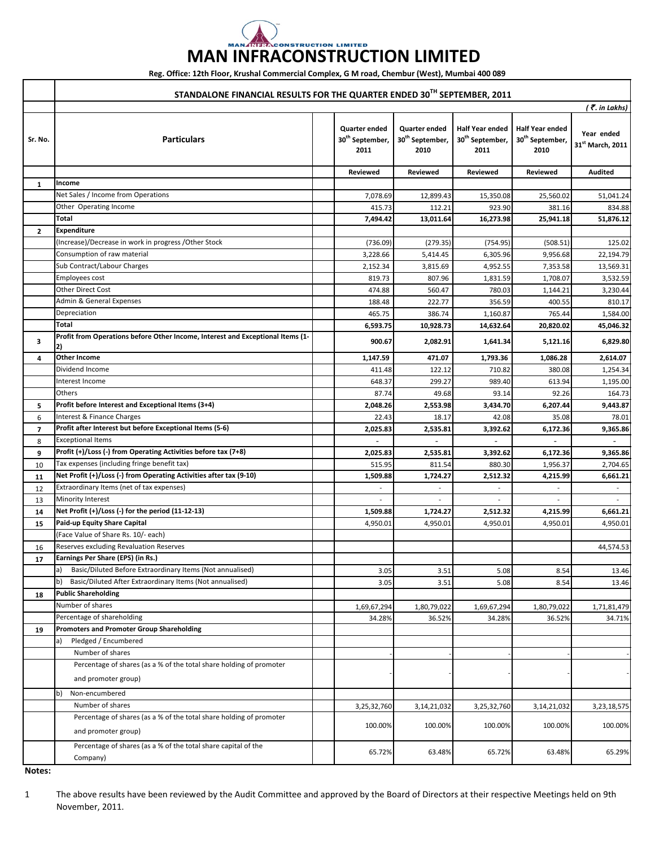## **MAN INFRACONSTRUCTION LIMITED**

**Reg. Office: 12th Floor, Krushal Commercial Complex, G M road, Chembur (West), Mumbai 400 089**

|                          | STANDALONE FINANCIAL RESULTS FOR THE QUARTER ENDED 30TH SEPTEMBER, 2011                    |                                                             |                                                      |                                                               |                                                               |                                         |  |  |  |
|--------------------------|--------------------------------------------------------------------------------------------|-------------------------------------------------------------|------------------------------------------------------|---------------------------------------------------------------|---------------------------------------------------------------|-----------------------------------------|--|--|--|
|                          | $($ $\overline{\mathcal{F}}$ . in Lakhs)                                                   |                                                             |                                                      |                                                               |                                                               |                                         |  |  |  |
| Sr. No.                  | <b>Particulars</b>                                                                         | <b>Quarter ended</b><br>30 <sup>th</sup> September,<br>2011 | Quarter ended<br>30 <sup>th</sup> September,<br>2010 | <b>Half Year ended</b><br>30 <sup>th</sup> September,<br>2011 | <b>Half Year ended</b><br>30 <sup>th</sup> September,<br>2010 | Year ended<br>$31^{\rm st}$ March, 2011 |  |  |  |
|                          |                                                                                            | Reviewed                                                    | <b>Reviewed</b>                                      | Reviewed                                                      | Reviewed                                                      | <b>Audited</b>                          |  |  |  |
| 1                        | Income                                                                                     |                                                             |                                                      |                                                               |                                                               |                                         |  |  |  |
|                          | Net Sales / Income from Operations                                                         | 7,078.69                                                    | 12,899.43                                            | 15,350.08                                                     | 25,560.02                                                     | 51,041.24                               |  |  |  |
|                          | Other Operating Income                                                                     | 415.73                                                      | 112.21                                               | 923.90                                                        | 381.16                                                        | 834.88                                  |  |  |  |
|                          | Total                                                                                      | 7,494.42                                                    | 13,011.64                                            | 16.273.98                                                     | 25,941.18                                                     | 51,876.12                               |  |  |  |
| $\overline{2}$           | <b>Expenditure</b>                                                                         |                                                             |                                                      |                                                               |                                                               |                                         |  |  |  |
|                          | (Increase)/Decrease in work in progress /Other Stock                                       | (736.09)                                                    | (279.35)                                             | (754.95)                                                      | (508.51)                                                      | 125.02                                  |  |  |  |
|                          | Consumption of raw material                                                                | 3,228.66                                                    | 5,414.45                                             | 6,305.96                                                      | 9,956.68                                                      | 22,194.79                               |  |  |  |
|                          | Sub Contract/Labour Charges                                                                | 2,152.34                                                    | 3,815.69                                             | 4,952.55                                                      | 7,353.58                                                      | 13,569.31                               |  |  |  |
|                          | Employees cost                                                                             | 819.73                                                      | 807.96                                               | 1,831.59                                                      | 1,708.07                                                      | 3,532.59                                |  |  |  |
|                          | <b>Other Direct Cost</b>                                                                   | 474.88                                                      | 560.47                                               | 780.03                                                        | 1,144.21                                                      | 3,230.44                                |  |  |  |
|                          | Admin & General Expenses                                                                   | 188.48                                                      | 222.77                                               | 356.59                                                        | 400.55                                                        | 810.17                                  |  |  |  |
|                          | Depreciation                                                                               | 465.75                                                      | 386.74                                               | 1,160.87                                                      | 765.44                                                        | 1,584.00                                |  |  |  |
|                          | Total                                                                                      | 6,593.75                                                    | 10,928.73                                            | 14,632.64                                                     | 20,820.02                                                     | 45,046.32                               |  |  |  |
| 3                        | Profit from Operations before Other Income, Interest and Exceptional Items (1-             | 900.67                                                      | 2,082.91                                             | 1,641.34                                                      | 5,121.16                                                      | 6,829.80                                |  |  |  |
| 4                        | <b>Other Income</b>                                                                        | 1,147.59                                                    | 471.07                                               | 1,793.36                                                      | 1,086.28                                                      | 2,614.07                                |  |  |  |
|                          | Dividend Income                                                                            | 411.48                                                      | 122.12                                               | 710.82                                                        | 380.08                                                        | 1,254.34                                |  |  |  |
|                          | Interest Income                                                                            | 648.37                                                      | 299.27                                               | 989.40                                                        | 613.94                                                        | 1,195.00                                |  |  |  |
|                          | Others                                                                                     | 87.74                                                       | 49.68                                                | 93.14                                                         | 92.26                                                         | 164.73                                  |  |  |  |
| 5                        | Profit before Interest and Exceptional Items (3+4)                                         | 2,048.26                                                    | 2,553.98                                             | 3,434.70                                                      | 6,207.44                                                      | 9,443.87                                |  |  |  |
| 6                        | Interest & Finance Charges                                                                 | 22.43                                                       | 18.17                                                | 42.08                                                         | 35.08                                                         | 78.01                                   |  |  |  |
| $\overline{\phantom{a}}$ | Profit after Interest but before Exceptional Items (5-6)                                   | 2,025.83                                                    | 2,535.81                                             | 3,392.62                                                      | 6,172.36                                                      | 9,365.86                                |  |  |  |
| 8                        | <b>Exceptional Items</b>                                                                   |                                                             |                                                      |                                                               |                                                               |                                         |  |  |  |
| 9                        | Profit (+)/Loss (-) from Operating Activities before tax (7+8)                             | 2,025.83                                                    | 2,535.81                                             | 3,392.62                                                      | 6,172.36                                                      | 9,365.86                                |  |  |  |
| 10                       | Tax expenses (including fringe benefit tax)                                                | 515.95                                                      | 811.54                                               | 880.30                                                        | 1,956.37                                                      | 2,704.65                                |  |  |  |
| 11                       | Net Profit (+)/Loss (-) from Operating Activities after tax (9-10)                         | 1,509.88                                                    | 1,724.27                                             | 2,512.32                                                      | 4,215.99                                                      | 6,661.21                                |  |  |  |
| 12                       | Extraordinary Items (net of tax expenses)                                                  |                                                             |                                                      |                                                               |                                                               |                                         |  |  |  |
| 13                       | Minority Interest<br>Net Profit (+)/Loss (-) for the period (11-12-13)                     |                                                             | ٠                                                    |                                                               |                                                               |                                         |  |  |  |
| 14                       | Paid-up Equity Share Capital                                                               | 1,509.88                                                    | 1,724.27                                             | 2,512.32                                                      | 4,215.99                                                      | 6,661.21                                |  |  |  |
| 15                       | (Face Value of Share Rs. 10/- each)                                                        | 4,950.01                                                    | 4,950.01                                             | 4,950.01                                                      | 4,950.01                                                      | 4,950.01                                |  |  |  |
| 16                       | Reserves excluding Revaluation Reserves                                                    |                                                             |                                                      |                                                               |                                                               | 44,574.53                               |  |  |  |
| 17                       | Earnings Per Share (EPS) (in Rs.)                                                          |                                                             |                                                      |                                                               |                                                               |                                         |  |  |  |
|                          | Basic/Diluted Before Extraordinary Items (Not annualised)<br>la)                           | 3.05                                                        | 3.51                                                 | 5.08                                                          | 8.54                                                          | 13.46                                   |  |  |  |
|                          | b)<br>Basic/Diluted After Extraordinary Items (Not annualised)                             | 3.05                                                        | 3.51                                                 | 5.08                                                          | 8.54                                                          | 13.46                                   |  |  |  |
| 18                       | <b>Public Shareholding</b>                                                                 |                                                             |                                                      |                                                               |                                                               |                                         |  |  |  |
|                          | Number of shares                                                                           | 1,69,67,294                                                 | 1,80,79,022                                          | 1,69,67,294                                                   | 1,80,79,022                                                   | 1,71,81,479                             |  |  |  |
|                          | Percentage of shareholding                                                                 | 34.28%                                                      | 36.52%                                               | 34.28%                                                        | 36.52%                                                        | 34.71%                                  |  |  |  |
| 19                       | Promoters and Promoter Group Shareholding                                                  |                                                             |                                                      |                                                               |                                                               |                                         |  |  |  |
|                          | Pledged / Encumbered<br>a)                                                                 |                                                             |                                                      |                                                               |                                                               |                                         |  |  |  |
|                          | Number of shares                                                                           |                                                             |                                                      |                                                               |                                                               |                                         |  |  |  |
|                          | Percentage of shares (as a % of the total share holding of promoter<br>and promoter group) |                                                             |                                                      |                                                               |                                                               |                                         |  |  |  |
|                          | Non-encumbered<br>$\mathsf{b}$                                                             |                                                             |                                                      |                                                               |                                                               |                                         |  |  |  |
|                          | Number of shares                                                                           |                                                             |                                                      |                                                               |                                                               |                                         |  |  |  |
|                          | Percentage of shares (as a % of the total share holding of promoter                        | 3,25,32,760                                                 | 3, 14, 21, 032                                       | 3,25,32,760                                                   | 3,14,21,032                                                   | 3,23,18,575                             |  |  |  |
|                          | and promoter group)                                                                        | 100.00%                                                     | 100.00%                                              | 100.00%                                                       | 100.00%                                                       | 100.00%                                 |  |  |  |
|                          | Percentage of shares (as a % of the total share capital of the<br>Company)                 | 65.72%                                                      | 63.48%                                               | 65.72%                                                        | 63.48%                                                        | 65.29%                                  |  |  |  |

**Notes:**

1 The above results have been reviewed by the Audit Committee and approved by the Board of Directors at their respective Meetings held on 9th November, 2011.